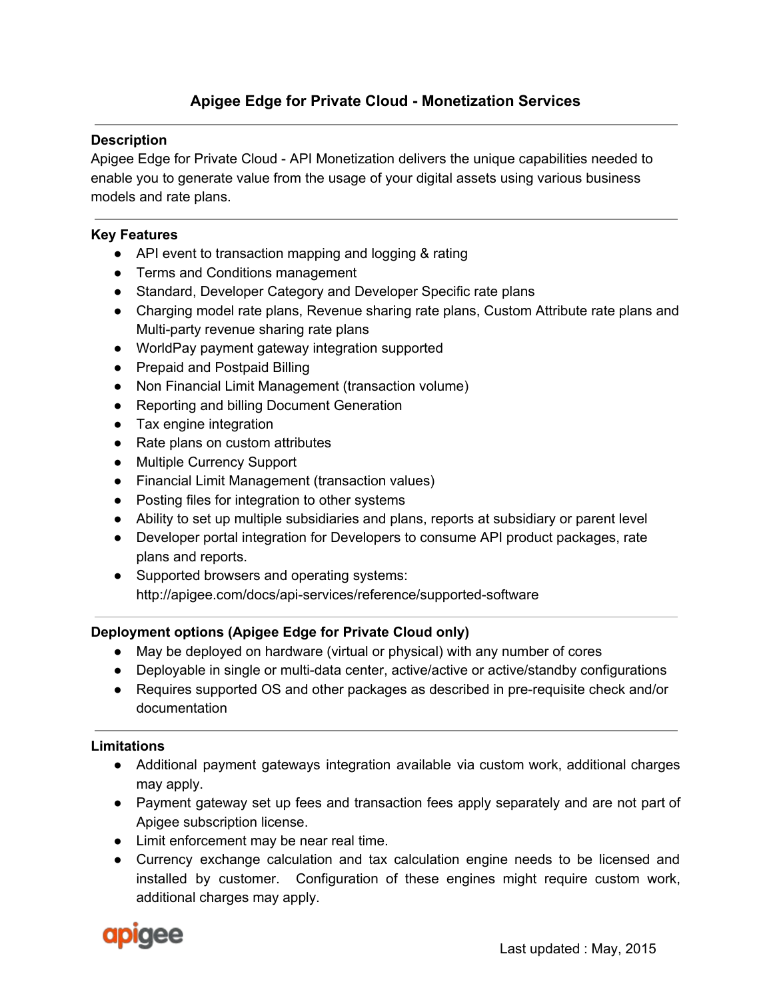# **Apigee Edge for Private Cloud Monetization Services**

#### **Description**

Apigee Edge for Private Cloud API Monetization delivers the unique capabilities needed to enable you to generate value from the usage of your digital assets using various business models and rate plans.

#### **Key Features**

- API event to transaction mapping and logging & rating
- Terms and Conditions management
- Standard, Developer Category and Developer Specific rate plans
- Charging model rate plans, Revenue sharing rate plans, Custom Attribute rate plans and Multi-party revenue sharing rate plans
- WorldPay payment gateway integration supported
- Prepaid and Postpaid Billing
- Non Financial Limit Management (transaction volume)
- Reporting and billing Document Generation
- Tax engine integration
- Rate plans on custom attributes
- Multiple Currency Support
- Financial Limit Management (transaction values)
- Posting files for integration to other systems
- Ability to set up multiple subsidiaries and plans, reports at subsidiary or parent level
- Developer portal integration for Developers to consume API product packages, rate plans and reports.
- Supported browsers and operating systems: http://apigee.com/docs/api-services/reference/supported-software

## **Deployment options (Apigee Edge for Private Cloud only)**

- May be deployed on hardware (virtual or physical) with any number of cores
- Deployable in single or multi-data center, active/active or active/standby configurations
- Requires supported OS and other packages as described in pre-requisite check and/or documentation

## **Limitations**

- Additional payment gateways integration available via custom work, additional charges may apply.
- Payment gateway set up fees and transaction fees apply separately and are not part of Apigee subscription license.
- Limit enforcement may be near real time.
- Currency exchange calculation and tax calculation engine needs to be licensed and installed by customer. Configuration of these engines might require custom work, additional charges may apply.